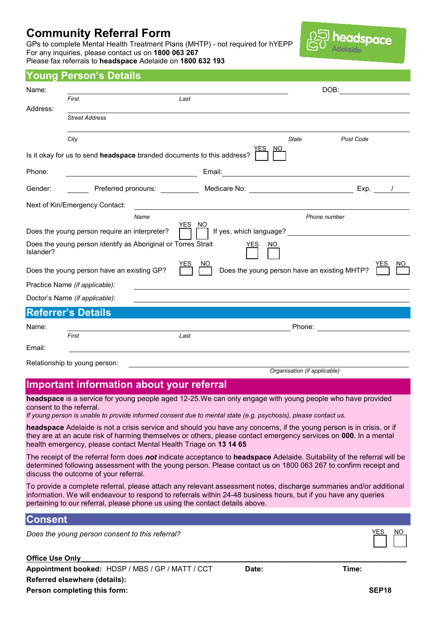# **Community Referral Form**

GPs to complete Mental Health Treatment Plans (MHTP) - not required for hYEPP For any inquiries, please contact us on **1800 063 267** Please fax referrals to **headspace** Adelaide on **1800 632 193**



## **Young Person's Details**

| Name:     |                                                                        |                                |                   | DOB:      |                                                                                                                |           |  |  |  |
|-----------|------------------------------------------------------------------------|--------------------------------|-------------------|-----------|----------------------------------------------------------------------------------------------------------------|-----------|--|--|--|
|           | First                                                                  |                                | Last              |           |                                                                                                                |           |  |  |  |
| Address:  | <b>Street Address</b>                                                  |                                |                   |           |                                                                                                                |           |  |  |  |
|           | City                                                                   |                                |                   |           | <b>State</b><br>Post Code                                                                                      |           |  |  |  |
|           | Is it okay for us to send headspace branded documents to this address? |                                |                   |           |                                                                                                                |           |  |  |  |
| Phone:    |                                                                        |                                | Email:            |           |                                                                                                                |           |  |  |  |
| Gender:   |                                                                        | Preferred pronouns: __________ |                   |           | Medicare No: Note and Medicare Note and Medicare Note and Medicare Medicare and Medicare and Medicare and Medi | Exp.      |  |  |  |
|           | Next of Kin/Emergency Contact:                                         |                                |                   |           |                                                                                                                |           |  |  |  |
|           |                                                                        | Name                           |                   |           | Phone number                                                                                                   |           |  |  |  |
|           | Does the young person require an interpreter?                          |                                | <b>YES</b><br>NO. |           |                                                                                                                |           |  |  |  |
| Islander? | Does the young person identify as Aboriginal or Torres Strait          |                                |                   | NO<br>YES |                                                                                                                |           |  |  |  |
|           | Does the young person have an existing GP?                             |                                | YES               |           | Does the young person have an existing MHTP?                                                                   | YES<br>NΟ |  |  |  |
|           | Practice Name (if applicable):                                         |                                |                   |           |                                                                                                                |           |  |  |  |
|           | Doctor's Name (if applicable):                                         |                                |                   |           |                                                                                                                |           |  |  |  |
|           | <b>Referrer's Details</b>                                              |                                |                   |           |                                                                                                                |           |  |  |  |
| Name:     |                                                                        |                                |                   | Phone:    |                                                                                                                |           |  |  |  |
|           | First                                                                  |                                | Last              |           |                                                                                                                |           |  |  |  |
| Email:    |                                                                        |                                |                   |           |                                                                                                                |           |  |  |  |
|           | Relationship to young person:                                          |                                |                   |           |                                                                                                                |           |  |  |  |
|           |                                                                        |                                |                   |           | Organisation (if applicable)                                                                                   |           |  |  |  |

# **Important information about your referral**

**headspace** is a service for young people aged 12-25.We can only engage with young people who have provided consent to the referral.

*If young person is unable to provide informed consent due to mental state (e.g. psychosis), please contact us.*

**headspace** Adelaide is not a crisis service and should you have any concerns, if the young person is in crisis, or if they are at an acute risk of harming themselves or others, please contact emergency services on **000**. In a mental health emergency, please contact Mental Health Triage on **13 14 65**

The receipt of the referral form does *not* indicate acceptance to **headspace** Adelaide. Suitability of the referral will be determined following assessment with the young person. Please contact us on 1800 063 267 to confirm receipt and discuss the outcome of your referral.

To provide a complete referral, please attach any relevant assessment notes, discharge summaries and/or additional information. We will endeavour to respond to referrals within 24-48 business hours, but if you have any queries pertaining to our referral, please phone us using the contact details above.

#### **Consent**

*Does the young person consent to this referral?* 

**Office Use Only Appointment booked:** HDSP / MBS / GP / MATT / CCT **Date: Time: Referred elsewhere (details): Person completing this form: SEP18**